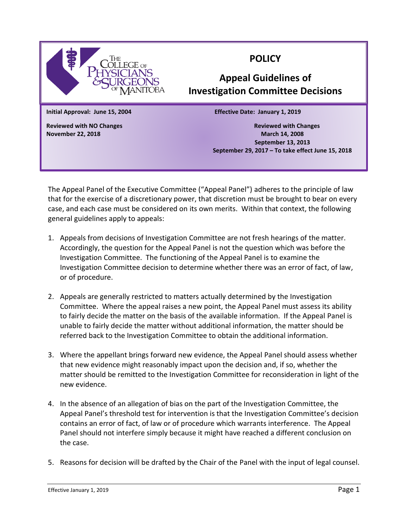

## **POLICY**

## **Appeal Guidelines of Investigation Committee Decisions**

**Initial Approval: June 15, 2004 Effective Date: January 1, 2019**

**Reviewed with NO Changes Reviewed with Changes November 22, 2018 March 14, 2008 September 13, 2013 September 29, 2017 – To take effect June 15, 2018**

The Appeal Panel of the Executive Committee ("Appeal Panel") adheres to the principle of law that for the exercise of a discretionary power, that discretion must be brought to bear on every case, and each case must be considered on its own merits. Within that context, the following general guidelines apply to appeals:

- 1. Appeals from decisions of Investigation Committee are not fresh hearings of the matter. Accordingly, the question for the Appeal Panel is not the question which was before the Investigation Committee. The functioning of the Appeal Panel is to examine the Investigation Committee decision to determine whether there was an error of fact, of law, or of procedure.
- 2. Appeals are generally restricted to matters actually determined by the Investigation Committee. Where the appeal raises a new point, the Appeal Panel must assess its ability to fairly decide the matter on the basis of the available information. If the Appeal Panel is unable to fairly decide the matter without additional information, the matter should be referred back to the Investigation Committee to obtain the additional information.
- 3. Where the appellant brings forward new evidence, the Appeal Panel should assess whether that new evidence might reasonably impact upon the decision and, if so, whether the matter should be remitted to the Investigation Committee for reconsideration in light of the new evidence.
- 4. In the absence of an allegation of bias on the part of the Investigation Committee, the Appeal Panel's threshold test for intervention is that the Investigation Committee's decision contains an error of fact, of law or of procedure which warrants interference. The Appeal Panel should not interfere simply because it might have reached a different conclusion on the case.
- 5. Reasons for decision will be drafted by the Chair of the Panel with the input of legal counsel.